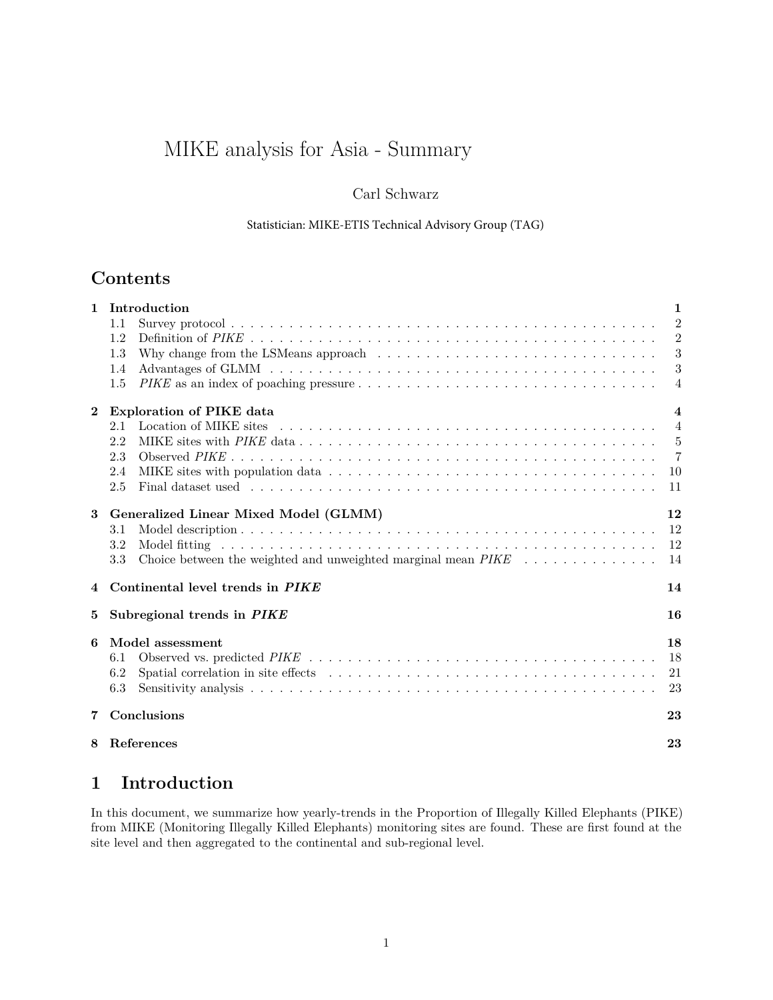# MIKE analysis for Asia - Summary

#### Carl Schwarz

#### Statistician: MIKE-ETIS Technical Advisory Group (TAG)

## **Contents**

| $\mathbf{1}$ | Introduction<br>$\mathbf{1}$                                                                                    |                         |  |  |  |
|--------------|-----------------------------------------------------------------------------------------------------------------|-------------------------|--|--|--|
|              | 1.1                                                                                                             | $\overline{2}$          |  |  |  |
|              | 1.2                                                                                                             | $\overline{2}$          |  |  |  |
|              | Why change from the LSMeans approach $\dots \dots \dots \dots \dots \dots \dots \dots \dots \dots \dots$<br>1.3 | 3                       |  |  |  |
|              | 1.4                                                                                                             | -3                      |  |  |  |
|              | 1.5                                                                                                             | $\overline{4}$          |  |  |  |
| $\bf{2}$     | <b>Exploration of PIKE data</b>                                                                                 | $\overline{\mathbf{4}}$ |  |  |  |
|              | 2.1                                                                                                             | $\overline{4}$          |  |  |  |
|              | 2.2                                                                                                             | - 5                     |  |  |  |
|              | 2.3                                                                                                             | $\overline{7}$          |  |  |  |
|              | 2.4                                                                                                             | <sup>10</sup>           |  |  |  |
|              | 2.5                                                                                                             | 11                      |  |  |  |
| 3            | Generalized Linear Mixed Model (GLMM)                                                                           | 12                      |  |  |  |
|              | 3.1                                                                                                             | 12                      |  |  |  |
|              | 3.2                                                                                                             | 12                      |  |  |  |
|              | 3.3                                                                                                             | 14                      |  |  |  |
| 4            | Continental level trends in PIKE                                                                                | 14                      |  |  |  |
| 5            | Subregional trends in PIKE                                                                                      | 16                      |  |  |  |
| 6            | Model assessment                                                                                                | 18                      |  |  |  |
|              | 6.1                                                                                                             | 18                      |  |  |  |
|              | 6.2                                                                                                             | 21                      |  |  |  |
|              | 6.3                                                                                                             | 23                      |  |  |  |
|              |                                                                                                                 |                         |  |  |  |
| 7            | Conclusions                                                                                                     | 23                      |  |  |  |
| 8            | References                                                                                                      | 23                      |  |  |  |
|              |                                                                                                                 |                         |  |  |  |

## <span id="page-0-0"></span>**1 Introduction**

In this document, we summarize how yearly-trends in the Proportion of Illegally Killed Elephants (PIKE) from MIKE (Monitoring Illegally Killed Elephants) monitoring sites are found. These are first found at the site level and then aggregated to the continental and sub-regional level.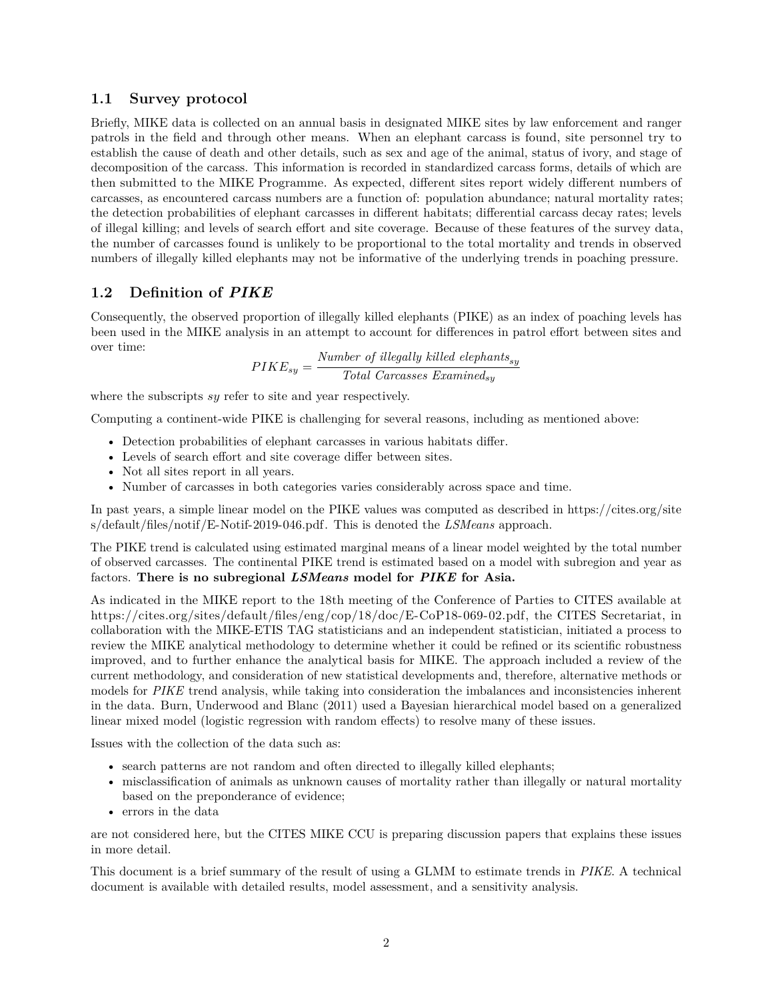#### <span id="page-1-0"></span>**1.1 Survey protocol**

Briefly, MIKE data is collected on an annual basis in designated MIKE sites by law enforcement and ranger patrols in the field and through other means. When an elephant carcass is found, site personnel try to establish the cause of death and other details, such as sex and age of the animal, status of ivory, and stage of decomposition of the carcass. This information is recorded in standardized carcass forms, details of which are then submitted to the MIKE Programme. As expected, different sites report widely different numbers of carcasses, as encountered carcass numbers are a function of: population abundance; natural mortality rates; the detection probabilities of elephant carcasses in different habitats; differential carcass decay rates; levels of illegal killing; and levels of search effort and site coverage. Because of these features of the survey data, the number of carcasses found is unlikely to be proportional to the total mortality and trends in observed numbers of illegally killed elephants may not be informative of the underlying trends in poaching pressure.

#### <span id="page-1-1"></span>**1.2 Definition of** *PIKE*

Consequently, the observed proportion of illegally killed elephants (PIKE) as an index of poaching levels has been used in the MIKE analysis in an attempt to account for differences in patrol effort between sites and over time:

$$
PIKE_{sy} = \frac{Number\ of\ illegally\ killed\ elephants_{sy}}{Total\ Carcases\ Reson{Example 2}} \label{eq:PIKE}
$$

where the subscripts *sy* refer to site and year respectively.

Computing a continent-wide PIKE is challenging for several reasons, including as mentioned above:

- Detection probabilities of elephant carcasses in various habitats differ.
- Levels of search effort and site coverage differ between sites.
- Not all sites report in all years.
- Number of carcasses in both categories varies considerably across space and time.

In past years, a simple linear model on the PIKE values was computed as described in [https://cites.org/site](https://cites.org/sites/default/files/notif/E-Notif-2019-046.pdf) [s/default/files/notif/E-Notif-2019-046.pdf.](https://cites.org/sites/default/files/notif/E-Notif-2019-046.pdf) This is denoted the *LSMeans* approach.

The PIKE trend is calculated using estimated marginal means of a linear model weighted by the total number of observed carcasses. The continental PIKE trend is estimated based on a model with subregion and year as factors. **There is no subregional** *LSMeans* **model for** *PIKE* **for Asia.**

As indicated in the MIKE report to the 18th meeting of the Conference of Parties to CITES available at [https://cites.org/sites/default/files/eng/cop/18/doc/E-CoP18-069-02.pdf,](https://cites.org/sites/default/files/eng/cop/18/doc/E-CoP18-069-02.pdf) the CITES Secretariat, in collaboration with the MIKE-ETIS TAG statisticians and an independent statistician, initiated a process to review the MIKE analytical methodology to determine whether it could be refined or its scientific robustness improved, and to further enhance the analytical basis for MIKE. The approach included a review of the current methodology, and consideration of new statistical developments and, therefore, alternative methods or models for *PIKE* trend analysis, while taking into consideration the imbalances and inconsistencies inherent in the data. Burn, Underwood and Blanc (2011) used a Bayesian hierarchical model based on a generalized linear mixed model (logistic regression with random effects) to resolve many of these issues.

Issues with the collection of the data such as:

- search patterns are not random and often directed to illegally killed elephants;
- misclassification of animals as unknown causes of mortality rather than illegally or natural mortality based on the preponderance of evidence;
- errors in the data

are not considered here, but the CITES MIKE CCU is preparing discussion papers that explains these issues in more detail.

This document is a brief summary of the result of using a GLMM to estimate trends in *PIKE*. A technical document is available with detailed results, model assessment, and a sensitivity analysis.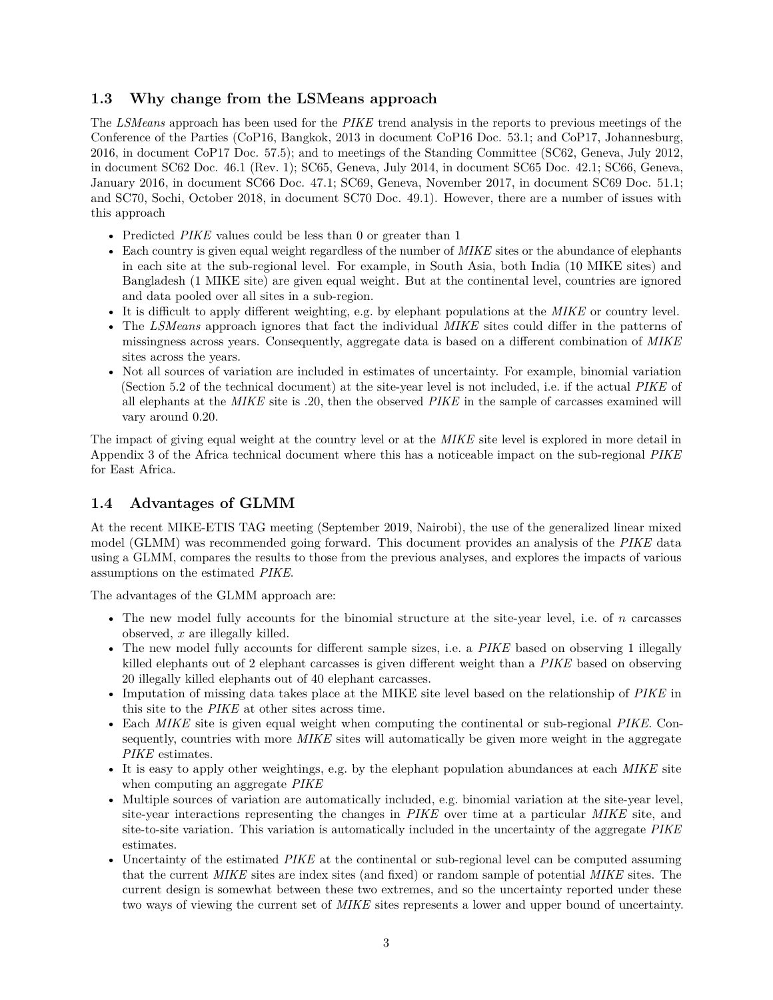#### <span id="page-2-0"></span>**1.3 Why change from the LSMeans approach**

The *LSMeans* approach has been used for the *PIKE* trend analysis in the reports to previous meetings of the Conference of the Parties (CoP16, Bangkok, 2013 in document CoP16 Doc. 53.1; and CoP17, Johannesburg, 2016, in document CoP17 Doc. 57.5); and to meetings of the Standing Committee (SC62, Geneva, July 2012, in document SC62 Doc. 46.1 (Rev. 1); SC65, Geneva, July 2014, in document SC65 Doc. 42.1; SC66, Geneva, January 2016, in document SC66 Doc. 47.1; SC69, Geneva, November 2017, in document SC69 Doc. 51.1; and SC70, Sochi, October 2018, in document SC70 Doc. 49.1). However, there are a number of issues with this approach

- Predicted *PIKE* values could be less than 0 or greater than 1
- Each country is given equal weight regardless of the number of *MIKE* sites or the abundance of elephants in each site at the sub-regional level. For example, in South Asia, both India (10 MIKE sites) and Bangladesh (1 MIKE site) are given equal weight. But at the continental level, countries are ignored and data pooled over all sites in a sub-region.
- It is difficult to apply different weighting, e.g. by elephant populations at the *MIKE* or country level.
- The *LSMeans* approach ignores that fact the individual *MIKE* sites could differ in the patterns of missingness across years. Consequently, aggregate data is based on a different combination of *MIKE* sites across the years.
- Not all sources of variation are included in estimates of uncertainty. For example, binomial variation (Section 5.2 of the technical document) at the site-year level is not included, i.e. if the actual *PIKE* of all elephants at the *MIKE* site is .20, then the observed *PIKE* in the sample of carcasses examined will vary around 0.20.

The impact of giving equal weight at the country level or at the *MIKE* site level is explored in more detail in Appendix 3 of the Africa technical document where this has a noticeable impact on the sub-regional *PIKE* for East Africa.

#### <span id="page-2-1"></span>**1.4 Advantages of GLMM**

At the recent MIKE-ETIS TAG meeting (September 2019, Nairobi), the use of the generalized linear mixed model (GLMM) was recommended going forward. This document provides an analysis of the *PIKE* data using a GLMM, compares the results to those from the previous analyses, and explores the impacts of various assumptions on the estimated *PIKE*.

The advantages of the GLMM approach are:

- The new model fully accounts for the binomial structure at the site-year level, i.e. of *n* carcasses observed, *x* are illegally killed.
- The new model fully accounts for different sample sizes, i.e. a *PIKE* based on observing 1 illegally killed elephants out of 2 elephant carcasses is given different weight than a *PIKE* based on observing 20 illegally killed elephants out of 40 elephant carcasses.
- Imputation of missing data takes place at the MIKE site level based on the relationship of *PIKE* in this site to the *PIKE* at other sites across time.
- Each *MIKE* site is given equal weight when computing the continental or sub-regional *PIKE*. Consequently, countries with more *MIKE* sites will automatically be given more weight in the aggregate *PIKE* estimates.
- It is easy to apply other weightings, e.g. by the elephant population abundances at each *MIKE* site when computing an aggregate *PIKE*
- Multiple sources of variation are automatically included, e.g. binomial variation at the site-year level, site-year interactions representing the changes in *PIKE* over time at a particular *MIKE* site, and site-to-site variation. This variation is automatically included in the uncertainty of the aggregate *PIKE* estimates.
- Uncertainty of the estimated *PIKE* at the continental or sub-regional level can be computed assuming that the current *MIKE* sites are index sites (and fixed) or random sample of potential *MIKE* sites. The current design is somewhat between these two extremes, and so the uncertainty reported under these two ways of viewing the current set of *MIKE* sites represents a lower and upper bound of uncertainty.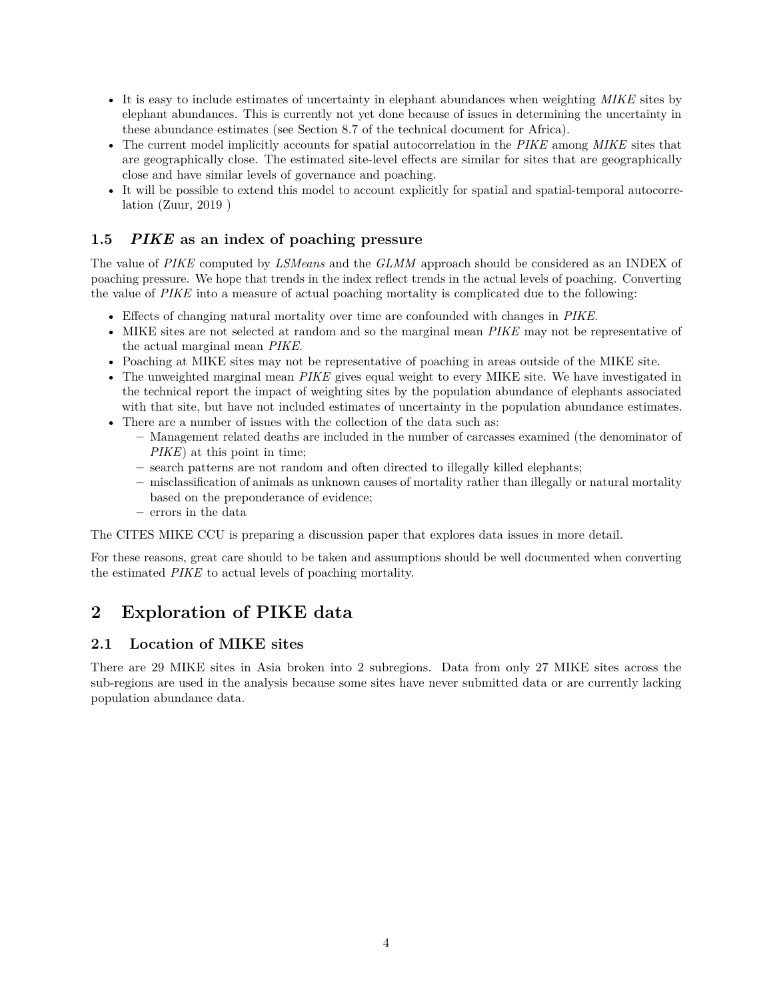- It is easy to include estimates of uncertainty in elephant abundances when weighting *MIKE* sites by elephant abundances. This is currently not yet done because of issues in determining the uncertainty in these abundance estimates (see Section 8.7 of the technical document for Africa).
- The current model implicitly accounts for spatial autocorrelation in the *PIKE* among *MIKE* sites that are geographically close. The estimated site-level effects are similar for sites that are geographically close and have similar levels of governance and poaching.
- It will be possible to extend this model to account explicitly for spatial and spatial-temporal autocorrelation (Zuur, 2019 )

#### <span id="page-3-0"></span>**1.5** *PIKE* **as an index of poaching pressure**

The value of *PIKE* computed by *LSMeans* and the *GLMM* approach should be considered as an INDEX of poaching pressure. We hope that trends in the index reflect trends in the actual levels of poaching. Converting the value of *PIKE* into a measure of actual poaching mortality is complicated due to the following:

- Effects of changing natural mortality over time are confounded with changes in *PIKE*.
- MIKE sites are not selected at random and so the marginal mean *PIKE* may not be representative of the actual marginal mean *PIKE*.
- Poaching at MIKE sites may not be representative of poaching in areas outside of the MIKE site.
- The unweighted marginal mean *PIKE* gives equal weight to every MIKE site. We have investigated in the technical report the impact of weighting sites by the population abundance of elephants associated with that site, but have not included estimates of uncertainty in the population abundance estimates.
- There are a number of issues with the collection of the data such as:
	- **–** Management related deaths are included in the number of carcasses examined (the denominator of *PIKE*) at this point in time;
	- **–** search patterns are not random and often directed to illegally killed elephants;
	- **–** misclassification of animals as unknown causes of mortality rather than illegally or natural mortality based on the preponderance of evidence;
	- **–** errors in the data

The CITES MIKE CCU is preparing a discussion paper that explores data issues in more detail.

For these reasons, great care should to be taken and assumptions should be well documented when converting the estimated *PIKE* to actual levels of poaching mortality.

## <span id="page-3-1"></span>**2 Exploration of PIKE data**

#### <span id="page-3-2"></span>**2.1 Location of MIKE sites**

There are 29 MIKE sites in Asia broken into 2 subregions. Data from only 27 MIKE sites across the sub-regions are used in the analysis because some sites have never submitted data or are currently lacking population abundance data.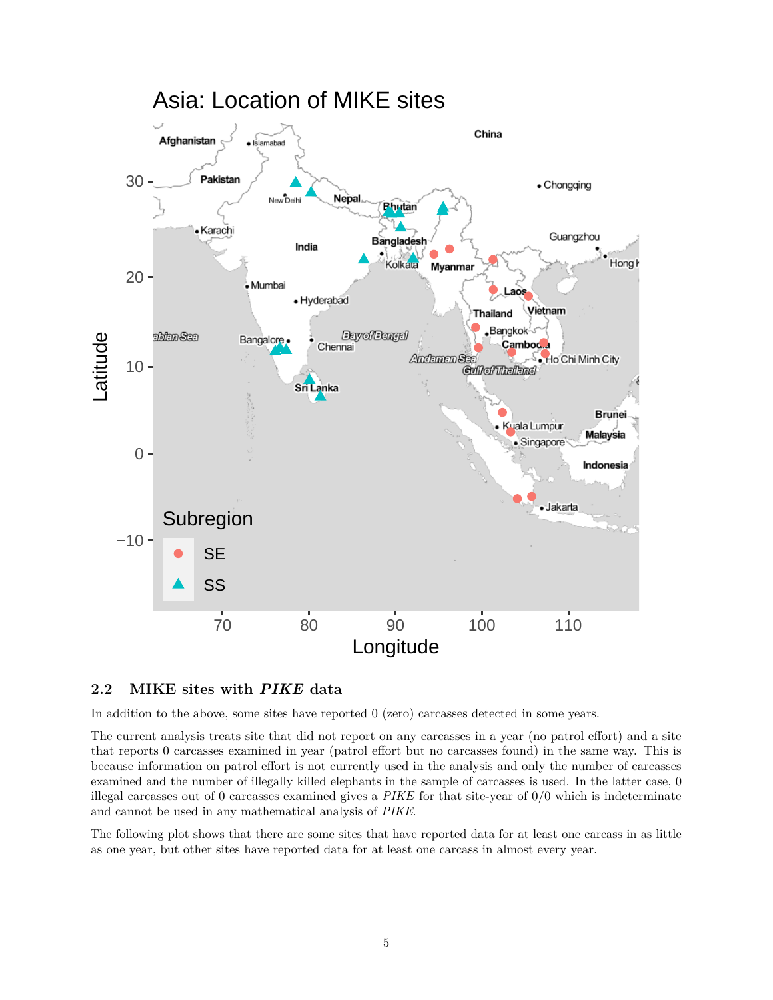

#### <span id="page-4-0"></span>**2.2 MIKE sites with** *PIKE* **data**

In addition to the above, some sites have reported 0 (zero) carcasses detected in some years.

The current analysis treats site that did not report on any carcasses in a year (no patrol effort) and a site that reports 0 carcasses examined in year (patrol effort but no carcasses found) in the same way. This is because information on patrol effort is not currently used in the analysis and only the number of carcasses examined and the number of illegally killed elephants in the sample of carcasses is used. In the latter case, 0 illegal carcasses out of 0 carcasses examined gives a *PIKE* for that site-year of 0/0 which is indeterminate and cannot be used in any mathematical analysis of *PIKE*.

The following plot shows that there are some sites that have reported data for at least one carcass in as little as one year, but other sites have reported data for at least one carcass in almost every year.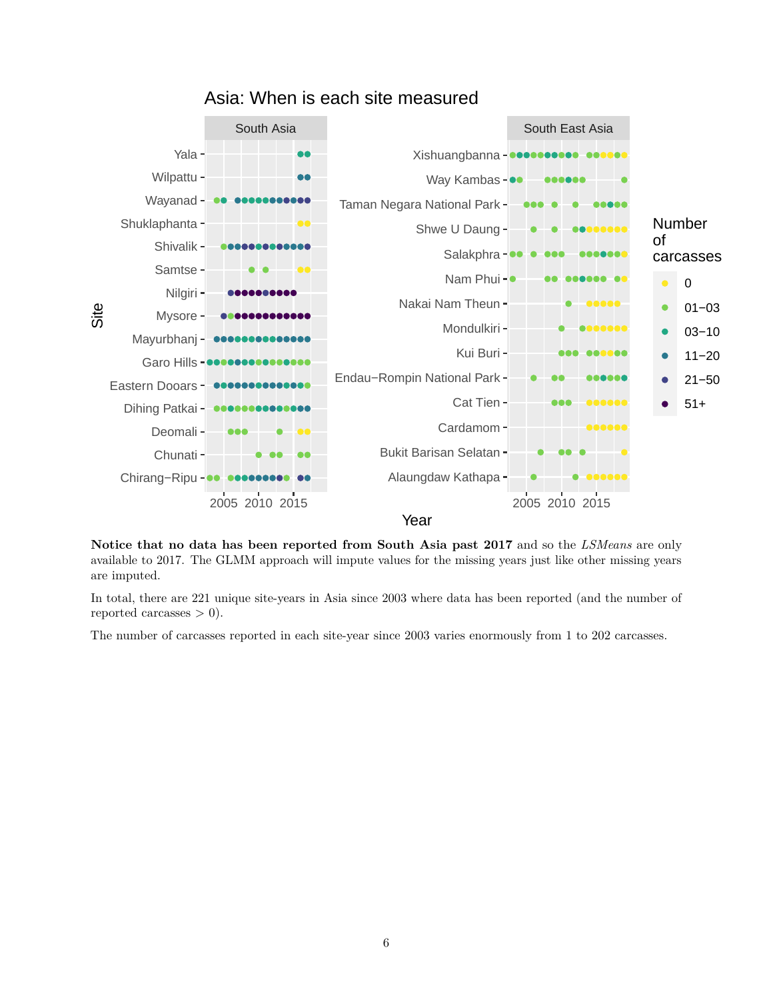

Asia: When is each site measured

**Notice that no data has been reported from South Asia past 2017** and so the *LSMeans* are only available to 2017. The GLMM approach will impute values for the missing years just like other missing years are imputed.

In total, there are 221 unique site-years in Asia since 2003 where data has been reported (and the number of reported carcasses  $> 0$ ).

The number of carcasses reported in each site-year since 2003 varies enormously from 1 to 202 carcasses.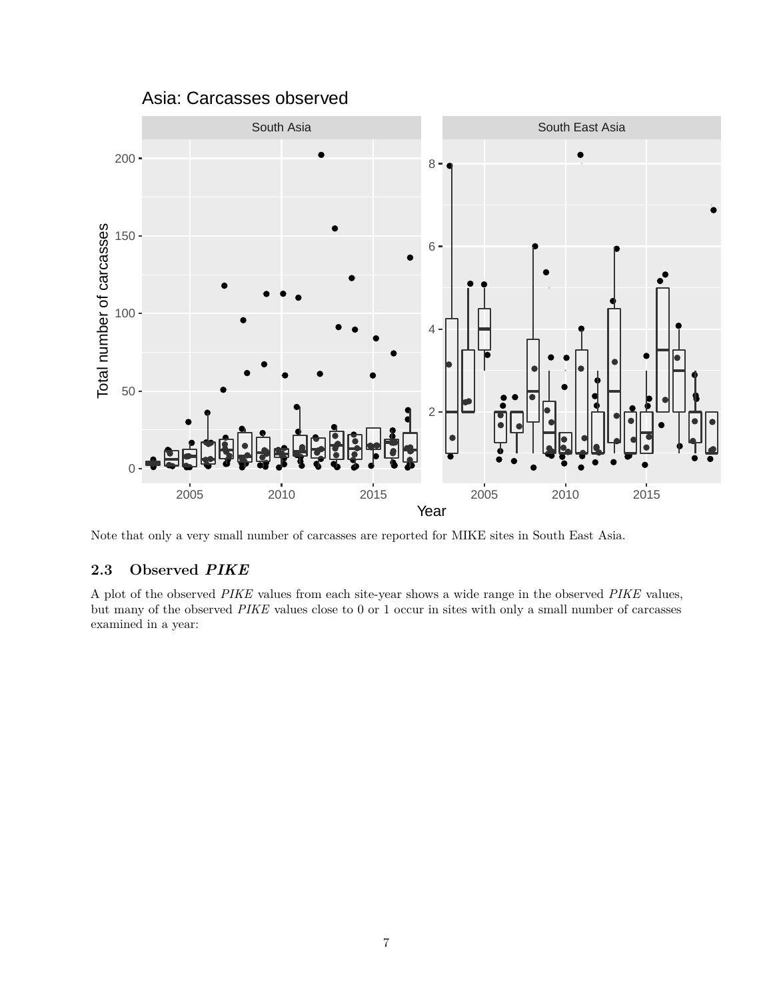



Note that only a very small number of carcasses are reported for MIKE sites in South East Asia.

#### <span id="page-6-0"></span>**2.3 Observed** *PIKE*

A plot of the observed *PIKE* values from each site-year shows a wide range in the observed *PIKE* values, but many of the observed *PIKE* values close to 0 or 1 occur in sites with only a small number of carcasses examined in a year: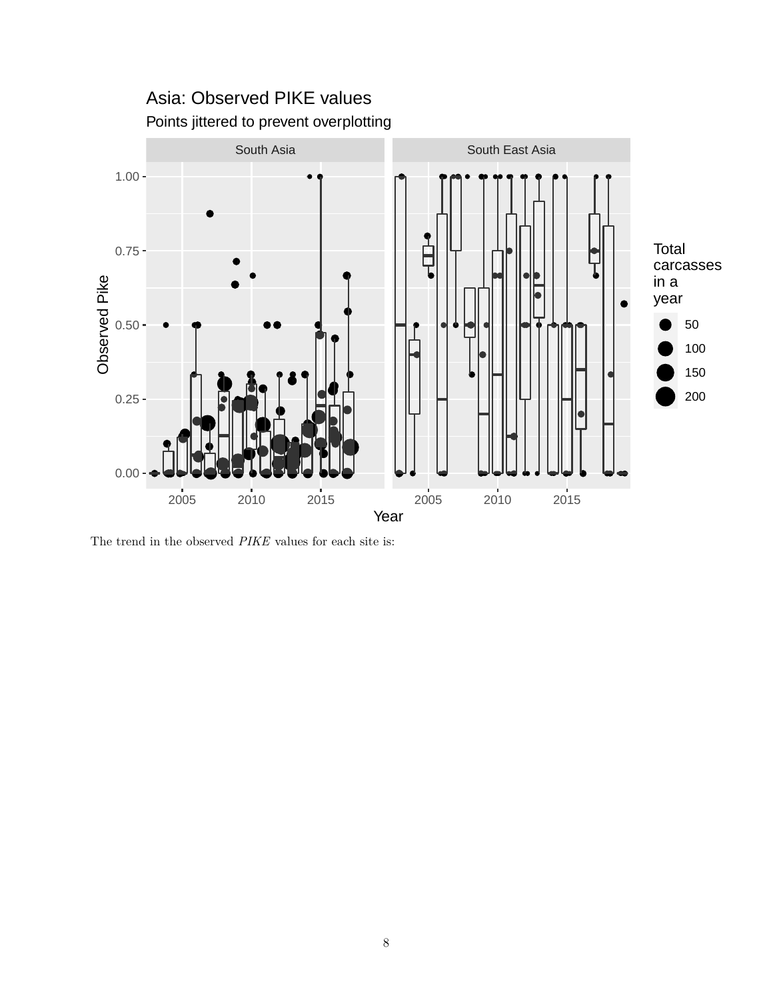

The trend in the observed *PIKE* values for each site is: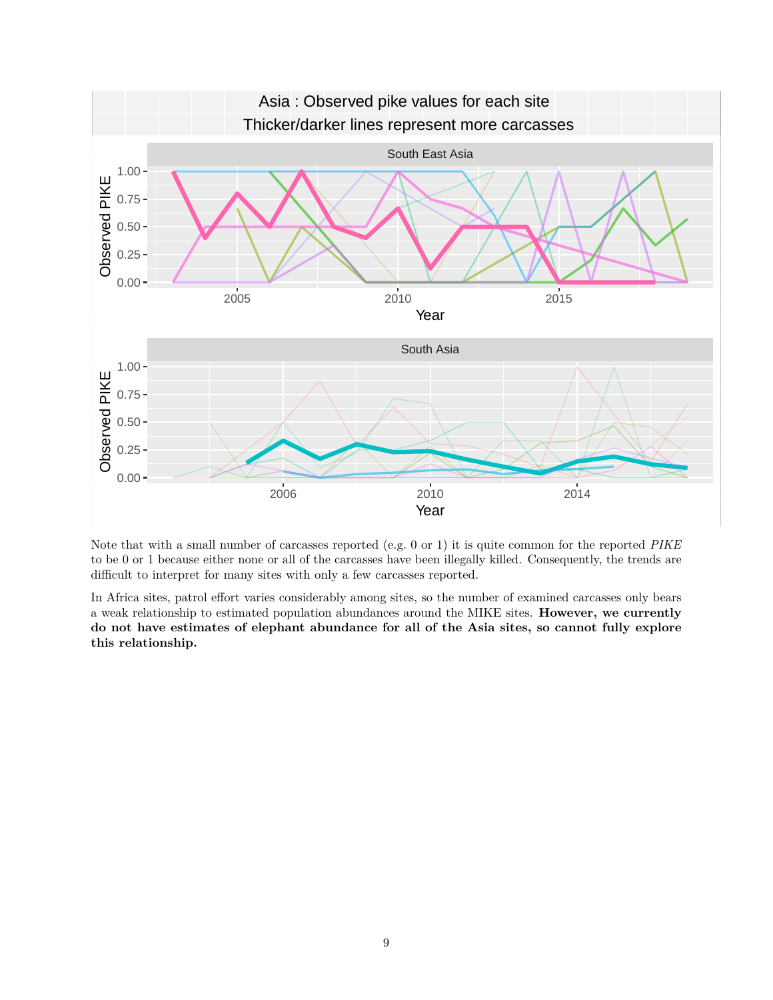

Note that with a small number of carcasses reported (e.g. 0 or 1) it is quite common for the reported *PIKE* to be 0 or 1 because either none or all of the carcasses have been illegally killed. Consequently, the trends are difficult to interpret for many sites with only a few carcasses reported.

In Africa sites, patrol effort varies considerably among sites, so the number of examined carcasses only bears a weak relationship to estimated population abundances around the MIKE sites. **However, we currently do not have estimates of elephant abundance for all of the Asia sites, so cannot fully explore this relationship.**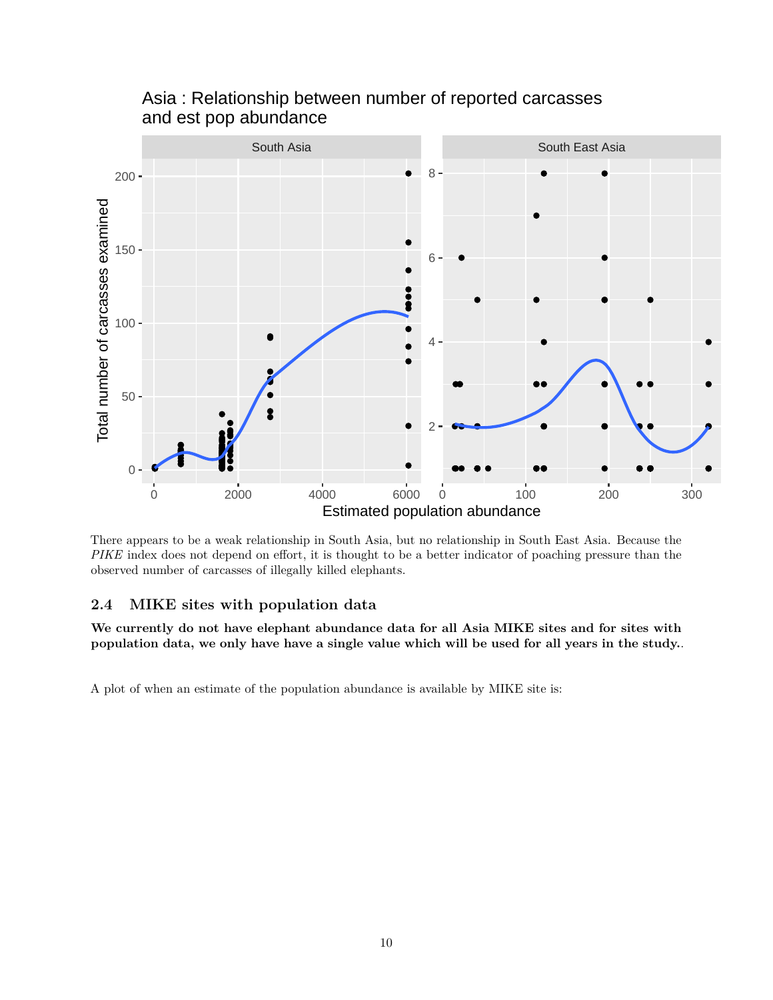

Asia : Relationship between number of reported carcasses and est pop abundance

There appears to be a weak relationship in South Asia, but no relationship in South East Asia. Because the *PIKE* index does not depend on effort, it is thought to be a better indicator of poaching pressure than the observed number of carcasses of illegally killed elephants.

#### <span id="page-9-0"></span>**2.4 MIKE sites with population data**

**We currently do not have elephant abundance data for all Asia MIKE sites and for sites with population data, we only have have a single value which will be used for all years in the study.**.

A plot of when an estimate of the population abundance is available by MIKE site is: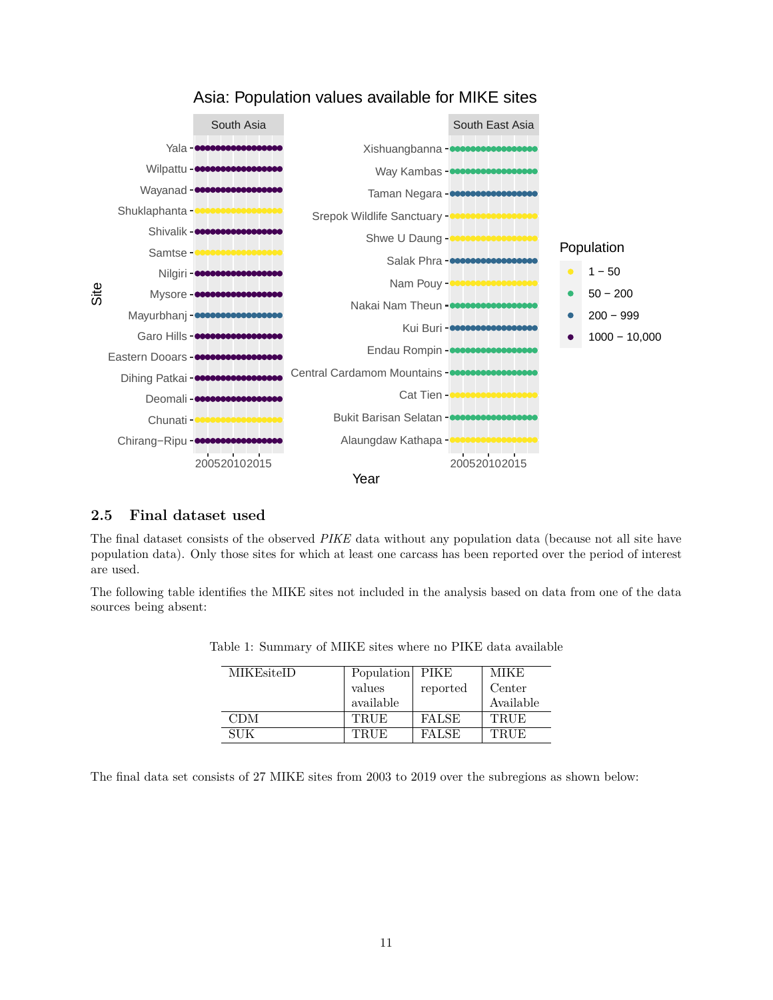

### Asia: Population values available for MIKE sites

#### <span id="page-10-0"></span>**2.5 Final dataset used**

The final dataset consists of the observed *PIKE* data without any population data (because not all site have population data). Only those sites for which at least one carcass has been reported over the period of interest are used.

The following table identifies the MIKE sites not included in the analysis based on data from one of the data sources being absent:

| MIKEsiteID | Population   PIKE |              | <b>MIKE</b> |
|------------|-------------------|--------------|-------------|
|            | values            | reported     | Center      |
|            | available         |              | Available   |
| <b>CDM</b> | <b>TRUE</b>       | <b>FALSE</b> | TRUE        |
| SUK        | TRUE              | <b>FALSE</b> | <b>TRUE</b> |

Table 1: Summary of MIKE sites where no PIKE data available

The final data set consists of 27 MIKE sites from 2003 to 2019 over the subregions as shown below: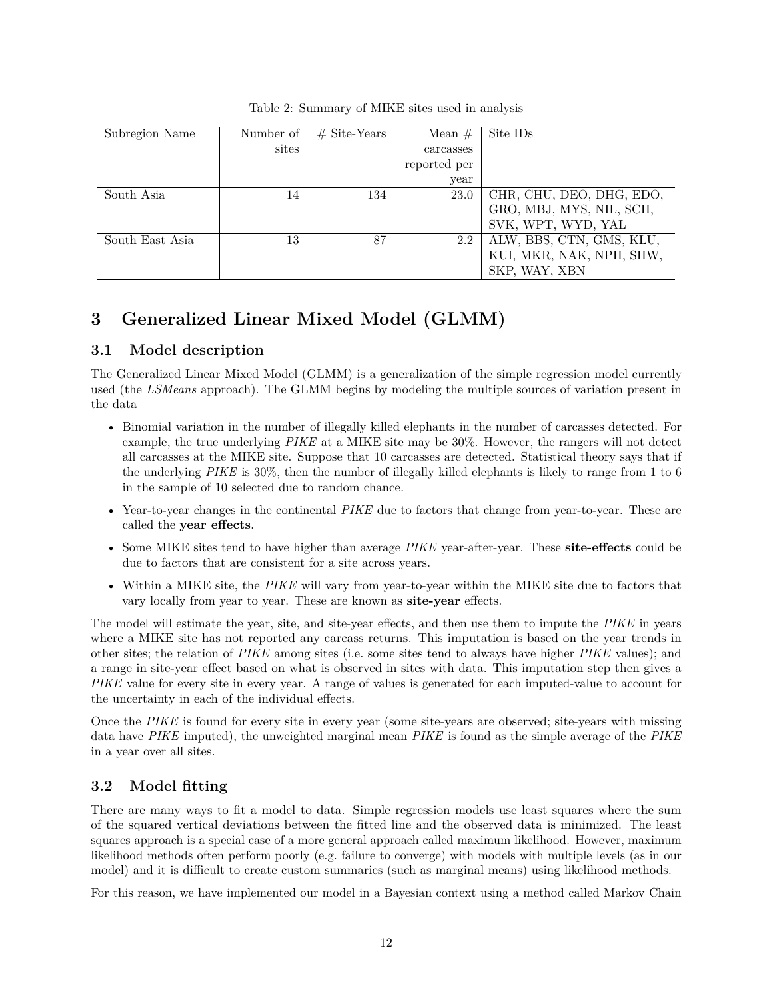| Subregion Name  | Number of | $#$ Site-Years | Mean $#$     | Site IDs                 |
|-----------------|-----------|----------------|--------------|--------------------------|
|                 | sites     |                | carcasses    |                          |
|                 |           |                | reported per |                          |
|                 |           |                | year         |                          |
| South Asia      | 14        | 134            | 23.0         | CHR, CHU, DEO, DHG, EDO, |
|                 |           |                |              | GRO, MBJ, MYS, NIL, SCH, |
|                 |           |                |              | SVK, WPT, WYD, YAL       |
| South East Asia | 13        | 87             | 2.2          | ALW, BBS, CTN, GMS, KLU, |
|                 |           |                |              | KUI, MKR, NAK, NPH, SHW, |
|                 |           |                |              | SKP, WAY, XBN            |

Table 2: Summary of MIKE sites used in analysis

## <span id="page-11-0"></span>**3 Generalized Linear Mixed Model (GLMM)**

#### <span id="page-11-1"></span>**3.1 Model description**

The Generalized Linear Mixed Model (GLMM) is a generalization of the simple regression model currently used (the *LSMeans* approach). The GLMM begins by modeling the multiple sources of variation present in the data

- Binomial variation in the number of illegally killed elephants in the number of carcasses detected. For example, the true underlying *PIKE* at a MIKE site may be 30%. However, the rangers will not detect all carcasses at the MIKE site. Suppose that 10 carcasses are detected. Statistical theory says that if the underlying *PIKE* is 30%, then the number of illegally killed elephants is likely to range from 1 to 6 in the sample of 10 selected due to random chance.
- Year-to-year changes in the continental *PIKE* due to factors that change from year-to-year. These are called the **year effects**.
- Some MIKE sites tend to have higher than average *PIKE* year-after-year. These **site-effects** could be due to factors that are consistent for a site across years.
- Within a MIKE site, the *PIKE* will vary from year-to-year within the MIKE site due to factors that vary locally from year to year. These are known as **site-year** effects.

The model will estimate the year, site, and site-year effects, and then use them to impute the *PIKE* in years where a MIKE site has not reported any carcass returns. This imputation is based on the year trends in other sites; the relation of *PIKE* among sites (i.e. some sites tend to always have higher *PIKE* values); and a range in site-year effect based on what is observed in sites with data. This imputation step then gives a *PIKE* value for every site in every year. A range of values is generated for each imputed-value to account for the uncertainty in each of the individual effects.

Once the *PIKE* is found for every site in every year (some site-years are observed; site-years with missing data have *PIKE* imputed), the unweighted marginal mean *PIKE* is found as the simple average of the *PIKE* in a year over all sites.

#### <span id="page-11-2"></span>**3.2 Model fitting**

There are many ways to fit a model to data. Simple regression models use least squares where the sum of the squared vertical deviations between the fitted line and the observed data is minimized. The least squares approach is a special case of a more general approach called maximum likelihood. However, maximum likelihood methods often perform poorly (e.g. failure to converge) with models with multiple levels (as in our model) and it is difficult to create custom summaries (such as marginal means) using likelihood methods.

For this reason, we have implemented our model in a Bayesian context using a method called Markov Chain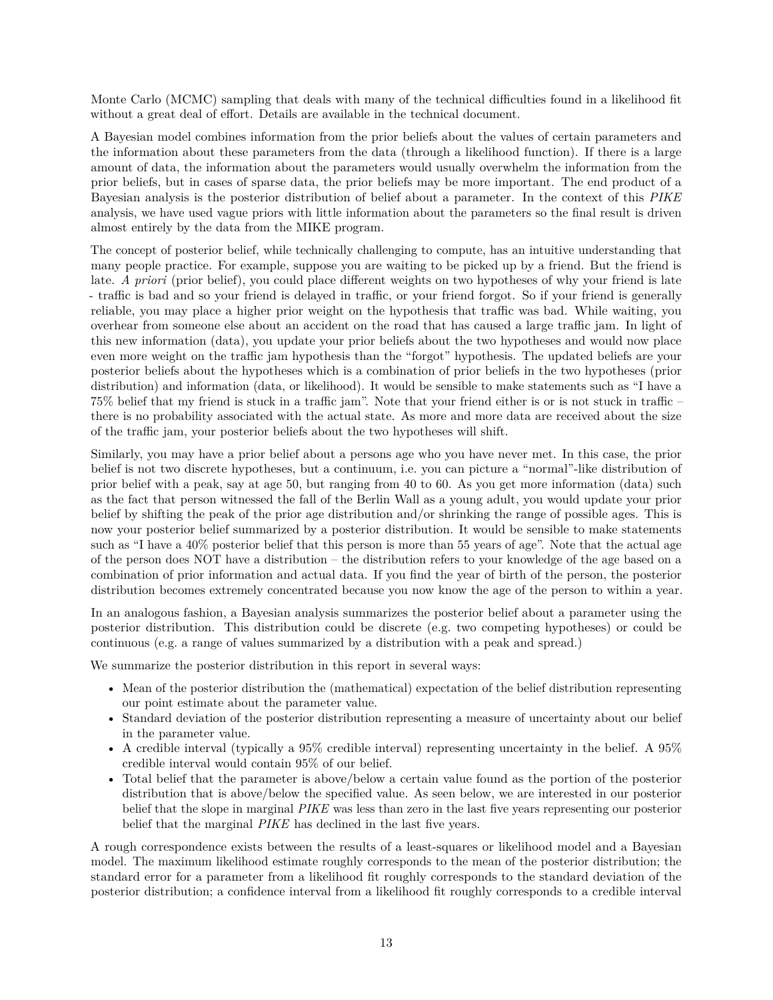Monte Carlo (MCMC) sampling that deals with many of the technical difficulties found in a likelihood fit without a great deal of effort. Details are available in the technical document.

A Bayesian model combines information from the prior beliefs about the values of certain parameters and the information about these parameters from the data (through a likelihood function). If there is a large amount of data, the information about the parameters would usually overwhelm the information from the prior beliefs, but in cases of sparse data, the prior beliefs may be more important. The end product of a Bayesian analysis is the posterior distribution of belief about a parameter. In the context of this *PIKE* analysis, we have used vague priors with little information about the parameters so the final result is driven almost entirely by the data from the MIKE program.

The concept of posterior belief, while technically challenging to compute, has an intuitive understanding that many people practice. For example, suppose you are waiting to be picked up by a friend. But the friend is late. *A priori* (prior belief), you could place different weights on two hypotheses of why your friend is late - traffic is bad and so your friend is delayed in traffic, or your friend forgot. So if your friend is generally reliable, you may place a higher prior weight on the hypothesis that traffic was bad. While waiting, you overhear from someone else about an accident on the road that has caused a large traffic jam. In light of this new information (data), you update your prior beliefs about the two hypotheses and would now place even more weight on the traffic jam hypothesis than the "forgot" hypothesis. The updated beliefs are your posterior beliefs about the hypotheses which is a combination of prior beliefs in the two hypotheses (prior distribution) and information (data, or likelihood). It would be sensible to make statements such as "I have a 75% belief that my friend is stuck in a traffic jam". Note that your friend either is or is not stuck in traffic – there is no probability associated with the actual state. As more and more data are received about the size of the traffic jam, your posterior beliefs about the two hypotheses will shift.

Similarly, you may have a prior belief about a persons age who you have never met. In this case, the prior belief is not two discrete hypotheses, but a continuum, i.e. you can picture a "normal"-like distribution of prior belief with a peak, say at age 50, but ranging from 40 to 60. As you get more information (data) such as the fact that person witnessed the fall of the Berlin Wall as a young adult, you would update your prior belief by shifting the peak of the prior age distribution and/or shrinking the range of possible ages. This is now your posterior belief summarized by a posterior distribution. It would be sensible to make statements such as "I have a 40% posterior belief that this person is more than 55 years of age". Note that the actual age of the person does NOT have a distribution – the distribution refers to your knowledge of the age based on a combination of prior information and actual data. If you find the year of birth of the person, the posterior distribution becomes extremely concentrated because you now know the age of the person to within a year.

In an analogous fashion, a Bayesian analysis summarizes the posterior belief about a parameter using the posterior distribution. This distribution could be discrete (e.g. two competing hypotheses) or could be continuous (e.g. a range of values summarized by a distribution with a peak and spread.)

We summarize the posterior distribution in this report in several ways:

- Mean of the posterior distribution the (mathematical) expectation of the belief distribution representing our point estimate about the parameter value.
- Standard deviation of the posterior distribution representing a measure of uncertainty about our belief in the parameter value.
- A credible interval (typically a 95% credible interval) representing uncertainty in the belief. A 95% credible interval would contain 95% of our belief.
- Total belief that the parameter is above/below a certain value found as the portion of the posterior distribution that is above/below the specified value. As seen below, we are interested in our posterior belief that the slope in marginal *PIKE* was less than zero in the last five years representing our posterior belief that the marginal *PIKE* has declined in the last five years.

A rough correspondence exists between the results of a least-squares or likelihood model and a Bayesian model. The maximum likelihood estimate roughly corresponds to the mean of the posterior distribution; the standard error for a parameter from a likelihood fit roughly corresponds to the standard deviation of the posterior distribution; a confidence interval from a likelihood fit roughly corresponds to a credible interval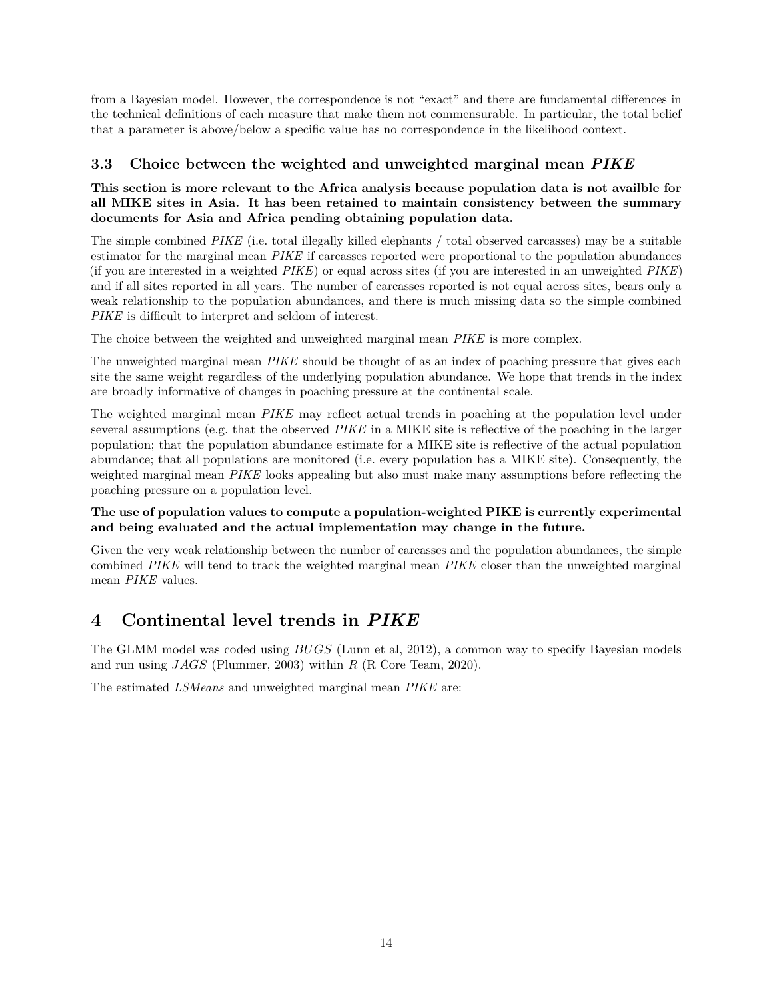from a Bayesian model. However, the correspondence is not "exact" and there are fundamental differences in the technical definitions of each measure that make them not commensurable. In particular, the total belief that a parameter is above/below a specific value has no correspondence in the likelihood context.

#### <span id="page-13-0"></span>**3.3 Choice between the weighted and unweighted marginal mean** *PIKE*

#### **This section is more relevant to the Africa analysis because population data is not availble for all MIKE sites in Asia. It has been retained to maintain consistency between the summary documents for Asia and Africa pending obtaining population data.**

The simple combined *PIKE* (i.e. total illegally killed elephants / total observed carcasses) may be a suitable estimator for the marginal mean *PIKE* if carcasses reported were proportional to the population abundances (if you are interested in a weighted *PIKE*) or equal across sites (if you are interested in an unweighted *PIKE*) and if all sites reported in all years. The number of carcasses reported is not equal across sites, bears only a weak relationship to the population abundances, and there is much missing data so the simple combined *PIKE* is difficult to interpret and seldom of interest.

The choice between the weighted and unweighted marginal mean *PIKE* is more complex.

The unweighted marginal mean *PIKE* should be thought of as an index of poaching pressure that gives each site the same weight regardless of the underlying population abundance. We hope that trends in the index are broadly informative of changes in poaching pressure at the continental scale.

The weighted marginal mean *PIKE* may reflect actual trends in poaching at the population level under several assumptions (e.g. that the observed *PIKE* in a MIKE site is reflective of the poaching in the larger population; that the population abundance estimate for a MIKE site is reflective of the actual population abundance; that all populations are monitored (i.e. every population has a MIKE site). Consequently, the weighted marginal mean *PIKE* looks appealing but also must make many assumptions before reflecting the poaching pressure on a population level.

#### **The use of population values to compute a population-weighted PIKE is currently experimental and being evaluated and the actual implementation may change in the future.**

Given the very weak relationship between the number of carcasses and the population abundances, the simple combined *PIKE* will tend to track the weighted marginal mean *PIKE* closer than the unweighted marginal mean *PIKE* values.

## <span id="page-13-1"></span>**4 Continental level trends in** *PIKE*

The GLMM model was coded using *BUGS* (Lunn et al, 2012), a common way to specify Bayesian models and run using *JAGS* (Plummer, 2003) within *R* (R Core Team, 2020).

The estimated *LSMeans* and unweighted marginal mean *PIKE* are: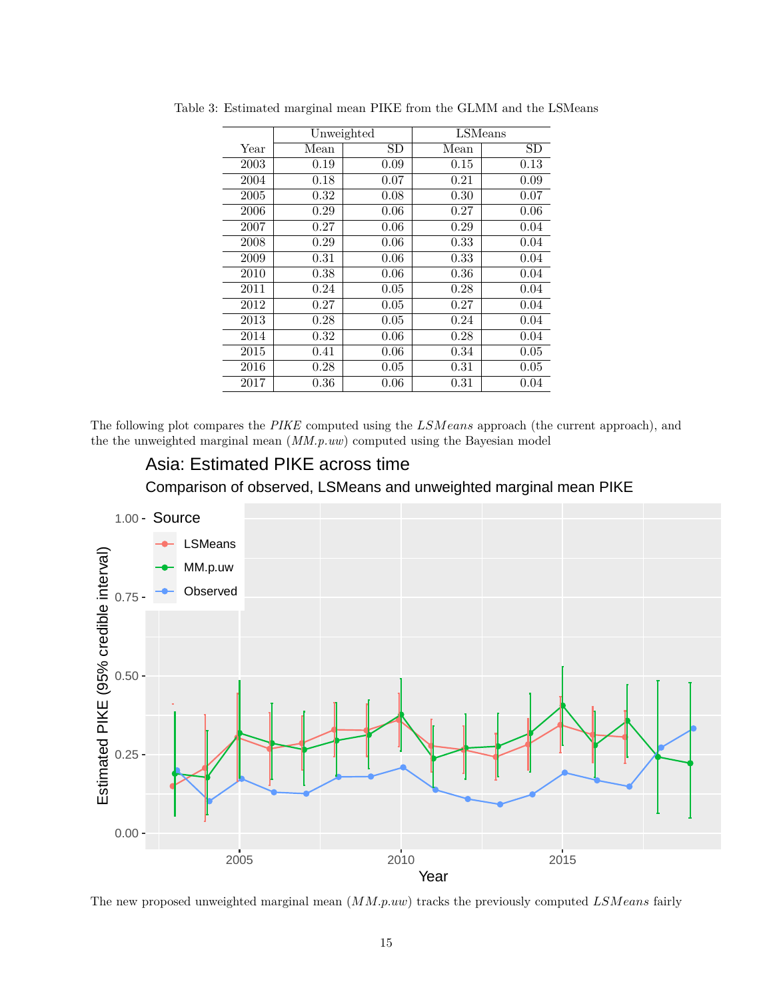|      |      | Unweighted | LSMeans |      |
|------|------|------------|---------|------|
| Year | Mean | SD         | Mean    | SD   |
| 2003 | 0.19 | 0.09       | 0.15    | 0.13 |
| 2004 | 0.18 | 0.07       | 0.21    | 0.09 |
| 2005 | 0.32 | 0.08       | 0.30    | 0.07 |
| 2006 | 0.29 | 0.06       | 0.27    | 0.06 |
| 2007 | 0.27 | 0.06       | 0.29    | 0.04 |
| 2008 | 0.29 | 0.06       | 0.33    | 0.04 |
| 2009 | 0.31 | 0.06       | 0.33    | 0.04 |
| 2010 | 0.38 | 0.06       | 0.36    | 0.04 |
| 2011 | 0.24 | 0.05       | 0.28    | 0.04 |
| 2012 | 0.27 | 0.05       | 0.27    | 0.04 |
| 2013 | 0.28 | 0.05       | 0.24    | 0.04 |
| 2014 | 0.32 | 0.06       | 0.28    | 0.04 |
| 2015 | 0.41 | 0.06       | 0.34    | 0.05 |
| 2016 | 0.28 | 0.05       | 0.31    | 0.05 |
| 2017 | 0.36 | 0.06       | 0.31    | 0.04 |

Table 3: Estimated marginal mean PIKE from the GLMM and the LSMeans

The following plot compares the *PIKE* computed using the *LSMeans* approach (the current approach), and the the unweighted marginal mean (*MM.p.uw*) computed using the Bayesian model

# Asia: Estimated PIKE across time

Comparison of observed, LSMeans and unweighted marginal mean PIKE



The new proposed unweighted marginal mean (*MM.p.uw*) tracks the previously computed *LSMeans* fairly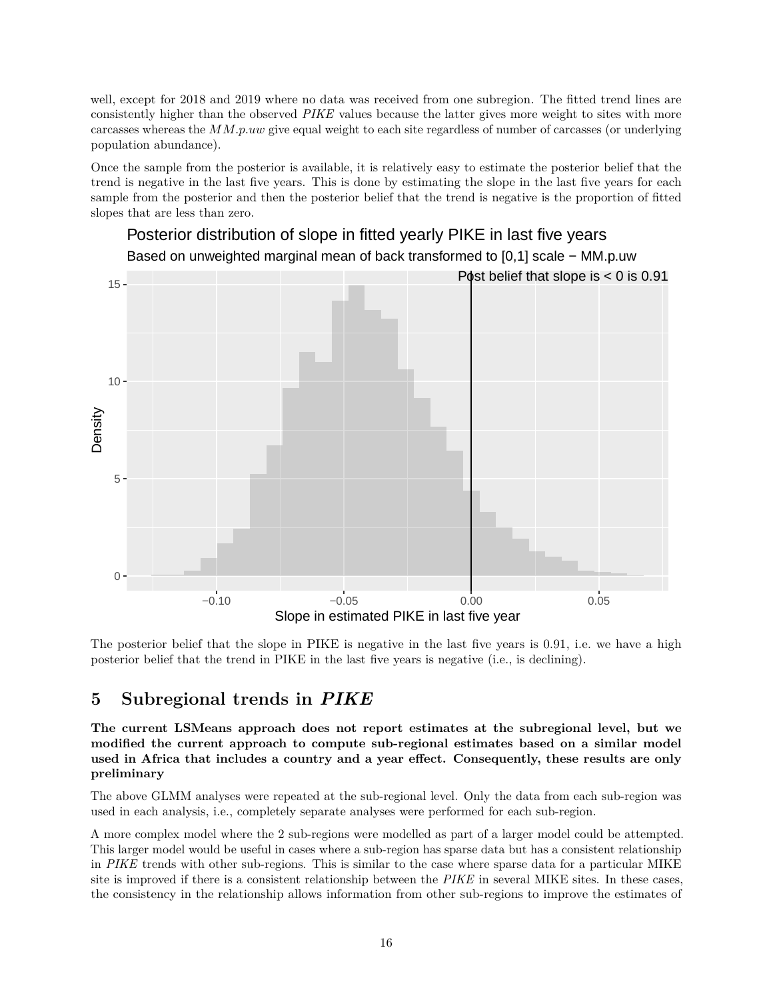well, except for 2018 and 2019 where no data was received from one subregion. The fitted trend lines are consistently higher than the observed *PIKE* values because the latter gives more weight to sites with more carcasses whereas the *MM.p.uw* give equal weight to each site regardless of number of carcasses (or underlying population abundance).

Once the sample from the posterior is available, it is relatively easy to estimate the posterior belief that the trend is negative in the last five years. This is done by estimating the slope in the last five years for each sample from the posterior and then the posterior belief that the trend is negative is the proportion of fitted slopes that are less than zero.



The posterior belief that the slope in PIKE is negative in the last five years is 0.91, i.e. we have a high posterior belief that the trend in PIKE in the last five years is negative (i.e., is declining).

### <span id="page-15-0"></span>**5 Subregional trends in** *PIKE*

**The current LSMeans approach does not report estimates at the subregional level, but we modified the current approach to compute sub-regional estimates based on a similar model used in Africa that includes a country and a year effect. Consequently, these results are only preliminary**

The above GLMM analyses were repeated at the sub-regional level. Only the data from each sub-region was used in each analysis, i.e., completely separate analyses were performed for each sub-region.

A more complex model where the 2 sub-regions were modelled as part of a larger model could be attempted. This larger model would be useful in cases where a sub-region has sparse data but has a consistent relationship in *PIKE* trends with other sub-regions. This is similar to the case where sparse data for a particular MIKE site is improved if there is a consistent relationship between the *PIKE* in several MIKE sites. In these cases, the consistency in the relationship allows information from other sub-regions to improve the estimates of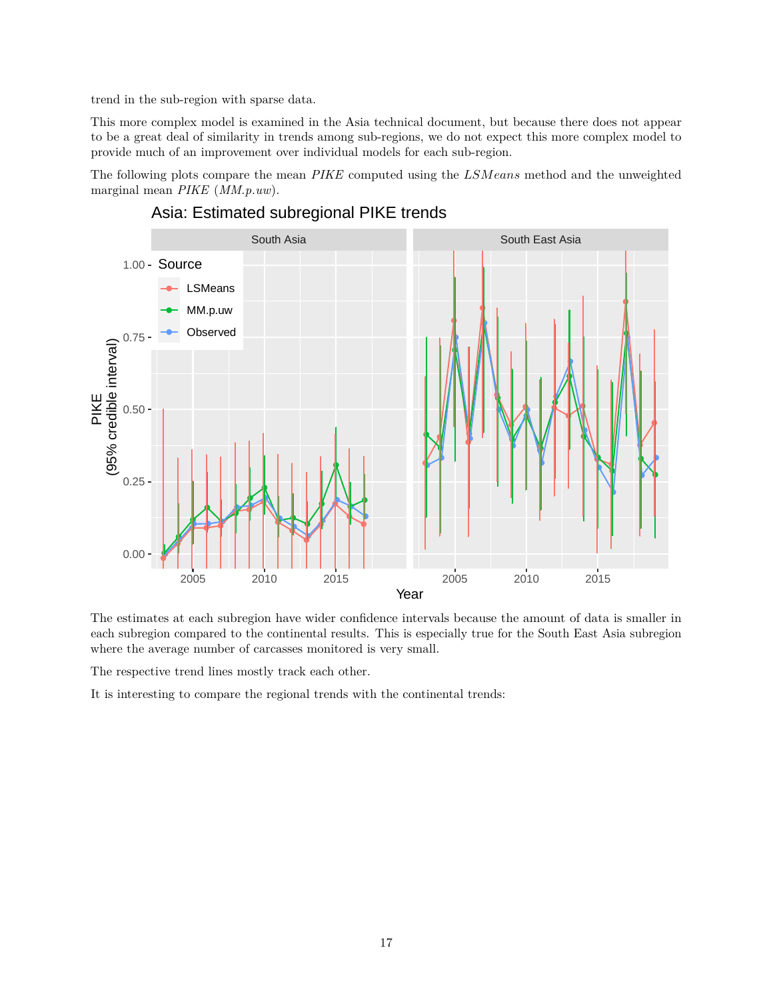trend in the sub-region with sparse data.

This more complex model is examined in the Asia technical document, but because there does not appear to be a great deal of similarity in trends among sub-regions, we do not expect this more complex model to provide much of an improvement over individual models for each sub-region.

The following plots compare the mean *PIKE* computed using the *LSMeans* method and the unweighted marginal mean *PIKE* (*MM.p.uw*).



## Asia: Estimated subregional PIKE trends

The estimates at each subregion have wider confidence intervals because the amount of data is smaller in each subregion compared to the continental results. This is especially true for the South East Asia subregion where the average number of carcasses monitored is very small.

The respective trend lines mostly track each other.

It is interesting to compare the regional trends with the continental trends: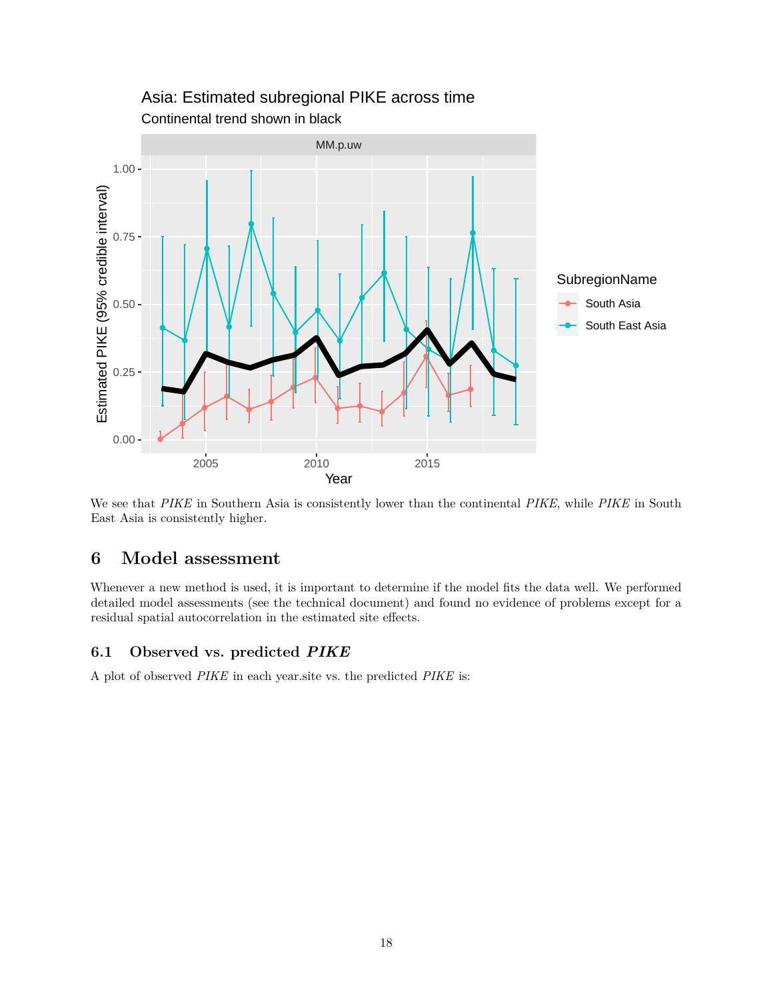

## Continental trend shown in black Asia: Estimated subregional PIKE across time

We see that *PIKE* in Southern Asia is consistently lower than the continental *PIKE*, while *PIKE* in South East Asia is consistently higher.

## <span id="page-17-0"></span>**6 Model assessment**

Whenever a new method is used, it is important to determine if the model fits the data well. We performed detailed model assessments (see the technical document) and found no evidence of problems except for a residual spatial autocorrelation in the estimated site effects.

### <span id="page-17-1"></span>**6.1 Observed vs. predicted** *PIKE*

A plot of observed *PIKE* in each year.site vs. the predicted *PIKE* is: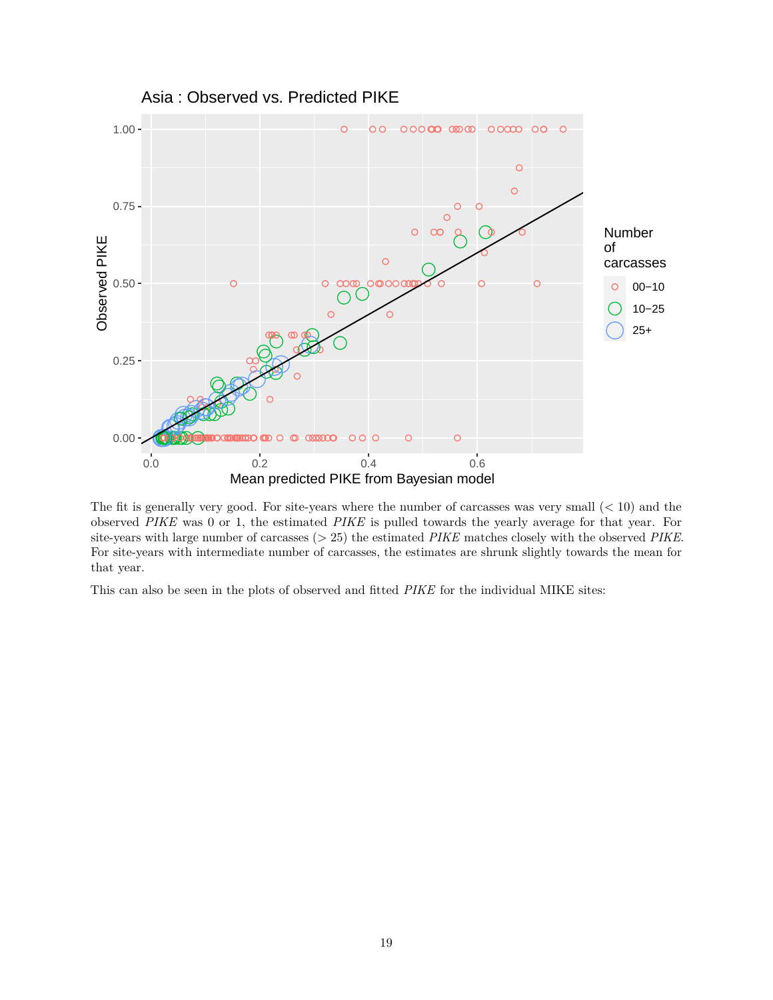

The fit is generally very good. For site-years where the number of carcasses was very small (*<* 10) and the observed *PIKE* was 0 or 1, the estimated *PIKE* is pulled towards the yearly average for that year. For site-years with large number of carcasses (*>* 25) the estimated *PIKE* matches closely with the observed *PIKE*. For site-years with intermediate number of carcasses, the estimates are shrunk slightly towards the mean for that year.

This can also be seen in the plots of observed and fitted *PIKE* for the individual MIKE sites: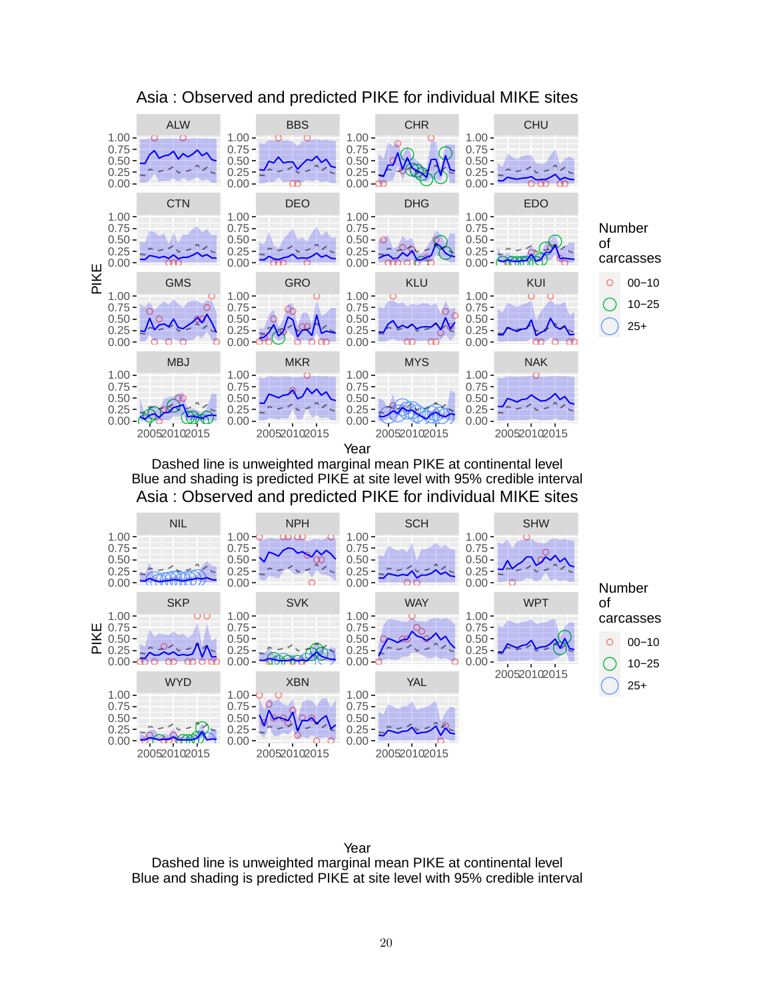

### Asia : Observed and predicted PIKE for individual MIKE sites

Dashed line is unweighted marginal mean PIKE at continental level Blue and shading is predicted PIKE at site level with 95% credible interval Asia : Observed and predicted PIKE for individual MIKE sites



Year Dashed line is unweighted marginal mean PIKE at continental level Blue and shading is predicted PIKE at site level with 95% credible interval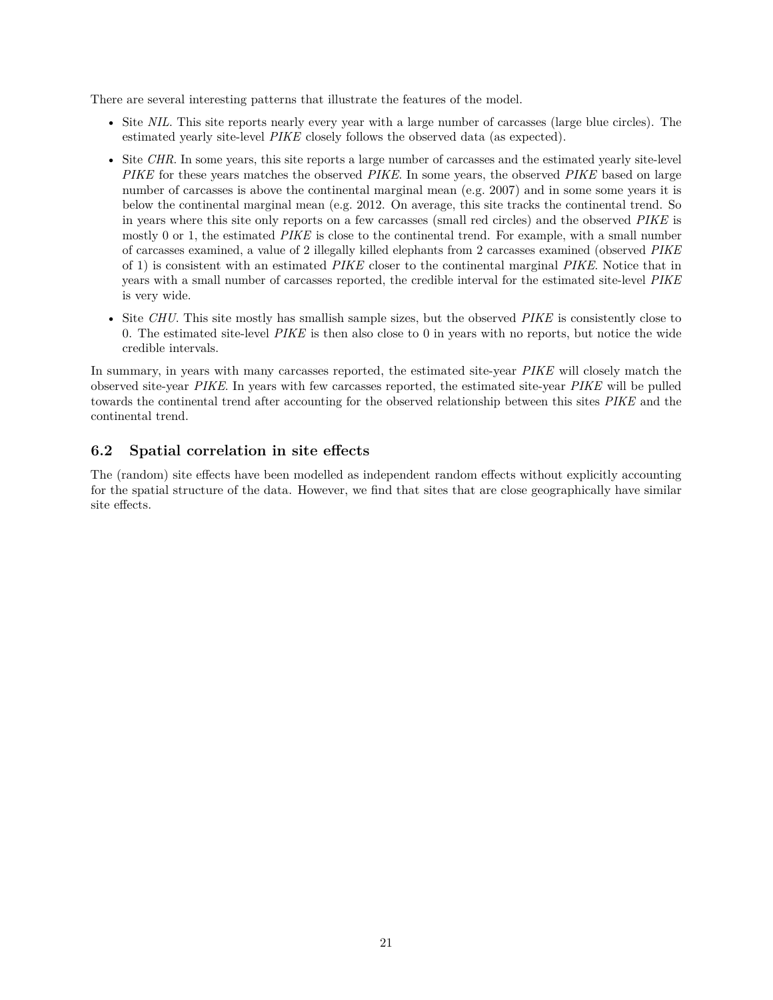There are several interesting patterns that illustrate the features of the model.

- Site *NIL*. This site reports nearly every year with a large number of carcasses (large blue circles). The estimated yearly site-level *PIKE* closely follows the observed data (as expected).
- Site *CHR*. In some years, this site reports a large number of carcasses and the estimated yearly site-level *PIKE* for these years matches the observed *PIKE*. In some years, the observed *PIKE* based on large number of carcasses is above the continental marginal mean (e.g. 2007) and in some some years it is below the continental marginal mean (e.g. 2012. On average, this site tracks the continental trend. So in years where this site only reports on a few carcasses (small red circles) and the observed *PIKE* is mostly 0 or 1, the estimated *PIKE* is close to the continental trend. For example, with a small number of carcasses examined, a value of 2 illegally killed elephants from 2 carcasses examined (observed *PIKE* of 1) is consistent with an estimated *PIKE* closer to the continental marginal *PIKE*. Notice that in years with a small number of carcasses reported, the credible interval for the estimated site-level *PIKE* is very wide.
- Site *CHU*. This site mostly has smallish sample sizes, but the observed *PIKE* is consistently close to 0. The estimated site-level *PIKE* is then also close to 0 in years with no reports, but notice the wide credible intervals.

In summary, in years with many carcasses reported, the estimated site-year *PIKE* will closely match the observed site-year *PIKE*. In years with few carcasses reported, the estimated site-year *PIKE* will be pulled towards the continental trend after accounting for the observed relationship between this sites *PIKE* and the continental trend.

#### <span id="page-20-0"></span>**6.2 Spatial correlation in site effects**

The (random) site effects have been modelled as independent random effects without explicitly accounting for the spatial structure of the data. However, we find that sites that are close geographically have similar site effects.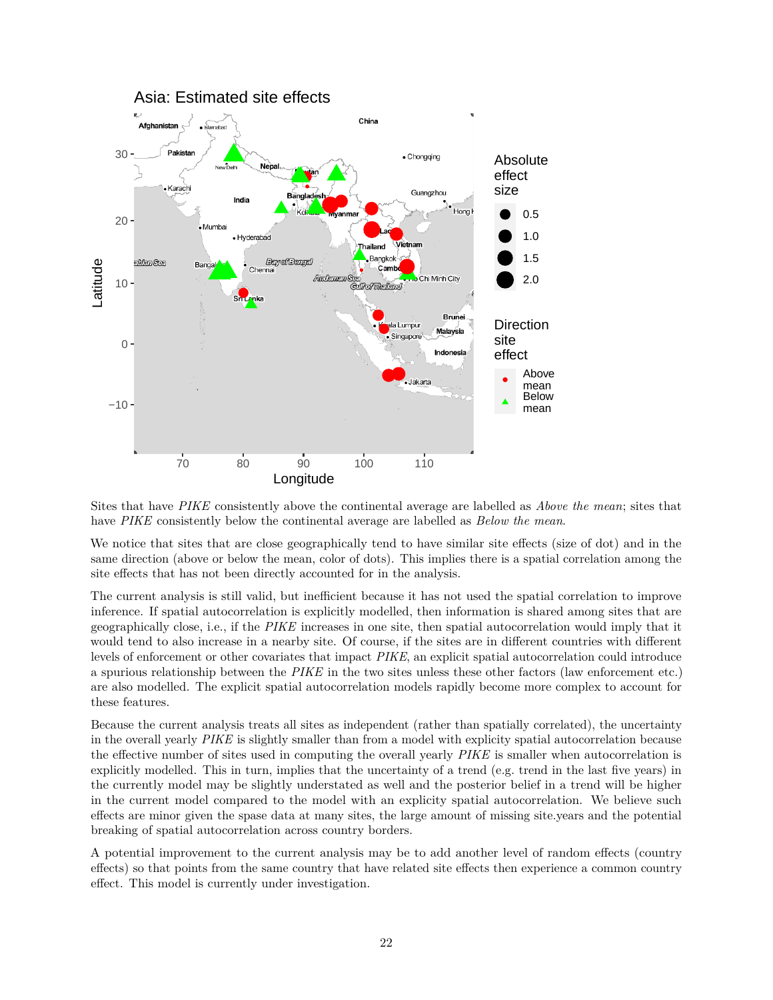

Sites that have *PIKE* consistently above the continental average are labelled as *Above the mean*; sites that have *PIKE* consistently below the continental average are labelled as *Below the mean*.

We notice that sites that are close geographically tend to have similar site effects (size of dot) and in the same direction (above or below the mean, color of dots). This implies there is a spatial correlation among the site effects that has not been directly accounted for in the analysis.

The current analysis is still valid, but inefficient because it has not used the spatial correlation to improve inference. If spatial autocorrelation is explicitly modelled, then information is shared among sites that are geographically close, i.e., if the *PIKE* increases in one site, then spatial autocorrelation would imply that it would tend to also increase in a nearby site. Of course, if the sites are in different countries with different levels of enforcement or other covariates that impact *PIKE*, an explicit spatial autocorrelation could introduce a spurious relationship between the *PIKE* in the two sites unless these other factors (law enforcement etc.) are also modelled. The explicit spatial autocorrelation models rapidly become more complex to account for these features.

Because the current analysis treats all sites as independent (rather than spatially correlated), the uncertainty in the overall yearly *PIKE* is slightly smaller than from a model with explicity spatial autocorrelation because the effective number of sites used in computing the overall yearly *PIKE* is smaller when autocorrelation is explicitly modelled. This in turn, implies that the uncertainty of a trend (e.g. trend in the last five years) in the currently model may be slightly understated as well and the posterior belief in a trend will be higher in the current model compared to the model with an explicity spatial autocorrelation. We believe such effects are minor given the spase data at many sites, the large amount of missing site.years and the potential breaking of spatial autocorrelation across country borders.

A potential improvement to the current analysis may be to add another level of random effects (country effects) so that points from the same country that have related site effects then experience a common country effect. This model is currently under investigation.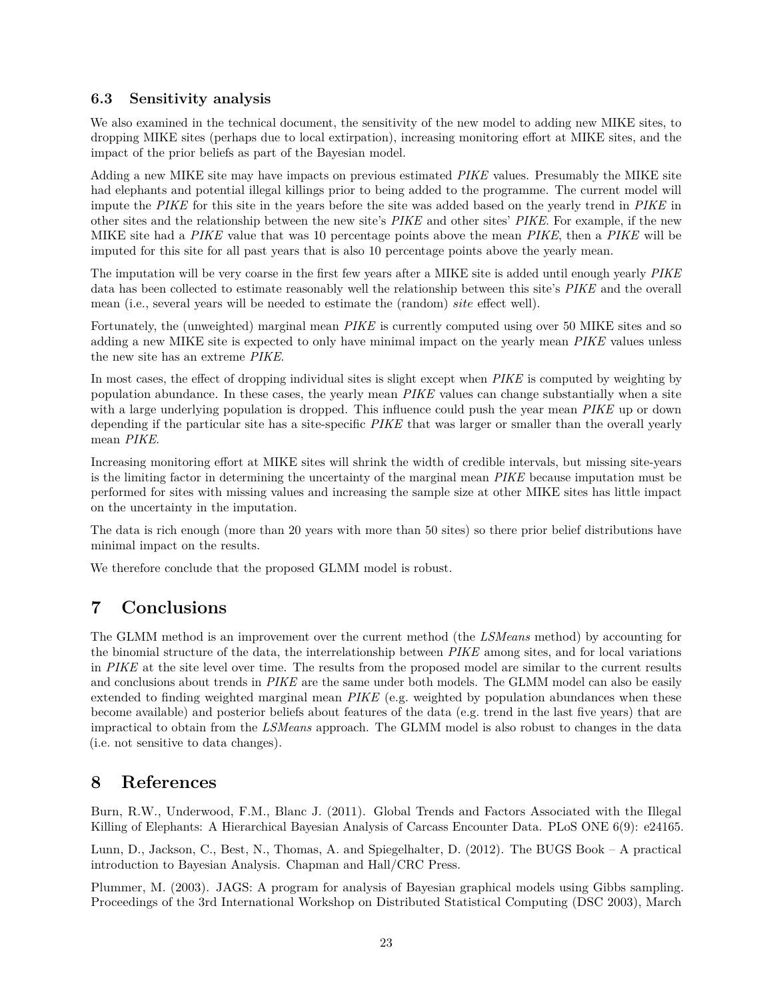#### <span id="page-22-0"></span>**6.3 Sensitivity analysis**

We also examined in the technical document, the sensitivity of the new model to adding new MIKE sites, to dropping MIKE sites (perhaps due to local extirpation), increasing monitoring effort at MIKE sites, and the impact of the prior beliefs as part of the Bayesian model.

Adding a new MIKE site may have impacts on previous estimated *PIKE* values. Presumably the MIKE site had elephants and potential illegal killings prior to being added to the programme. The current model will impute the *PIKE* for this site in the years before the site was added based on the yearly trend in *PIKE* in other sites and the relationship between the new site's *PIKE* and other sites' *PIKE*. For example, if the new MIKE site had a *PIKE* value that was 10 percentage points above the mean *PIKE*, then a *PIKE* will be imputed for this site for all past years that is also 10 percentage points above the yearly mean.

The imputation will be very coarse in the first few years after a MIKE site is added until enough yearly *PIKE* data has been collected to estimate reasonably well the relationship between this site's *PIKE* and the overall mean (i.e., several years will be needed to estimate the (random) *site* effect well).

Fortunately, the (unweighted) marginal mean *PIKE* is currently computed using over 50 MIKE sites and so adding a new MIKE site is expected to only have minimal impact on the yearly mean *PIKE* values unless the new site has an extreme *PIKE*.

In most cases, the effect of dropping individual sites is slight except when *PIKE* is computed by weighting by population abundance. In these cases, the yearly mean *PIKE* values can change substantially when a site with a large underlying population is dropped. This influence could push the year mean *PIKE* up or down depending if the particular site has a site-specific *PIKE* that was larger or smaller than the overall yearly mean *PIKE*.

Increasing monitoring effort at MIKE sites will shrink the width of credible intervals, but missing site-years is the limiting factor in determining the uncertainty of the marginal mean *PIKE* because imputation must be performed for sites with missing values and increasing the sample size at other MIKE sites has little impact on the uncertainty in the imputation.

The data is rich enough (more than 20 years with more than 50 sites) so there prior belief distributions have minimal impact on the results.

We therefore conclude that the proposed GLMM model is robust.

## <span id="page-22-1"></span>**7 Conclusions**

The GLMM method is an improvement over the current method (the *LSMeans* method) by accounting for the binomial structure of the data, the interrelationship between *PIKE* among sites, and for local variations in *PIKE* at the site level over time. The results from the proposed model are similar to the current results and conclusions about trends in *PIKE* are the same under both models. The GLMM model can also be easily extended to finding weighted marginal mean *PIKE* (e.g. weighted by population abundances when these become available) and posterior beliefs about features of the data (e.g. trend in the last five years) that are impractical to obtain from the *LSMeans* approach. The GLMM model is also robust to changes in the data (i.e. not sensitive to data changes).

### <span id="page-22-2"></span>**8 References**

Burn, R.W., Underwood, F.M., Blanc J. (2011). Global Trends and Factors Associated with the Illegal Killing of Elephants: A Hierarchical Bayesian Analysis of Carcass Encounter Data. PLoS ONE 6(9): e24165.

Lunn, D., Jackson, C., Best, N., Thomas, A. and Spiegelhalter, D. (2012). The BUGS Book – A practical introduction to Bayesian Analysis. Chapman and Hall/CRC Press.

Plummer, M. (2003). JAGS: A program for analysis of Bayesian graphical models using Gibbs sampling. Proceedings of the 3rd International Workshop on Distributed Statistical Computing (DSC 2003), March